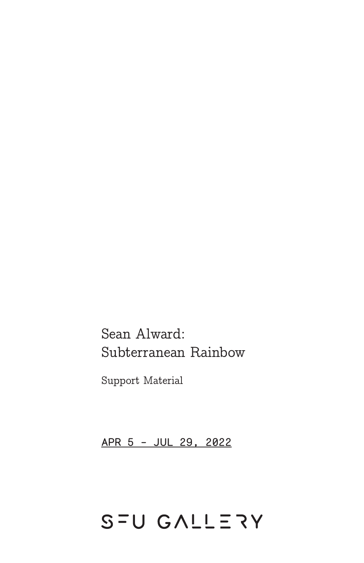# Sean Alward: Subterranean Rainbow

Support Material

APR 5 - JUL 29, 2022

# SFU GALLERY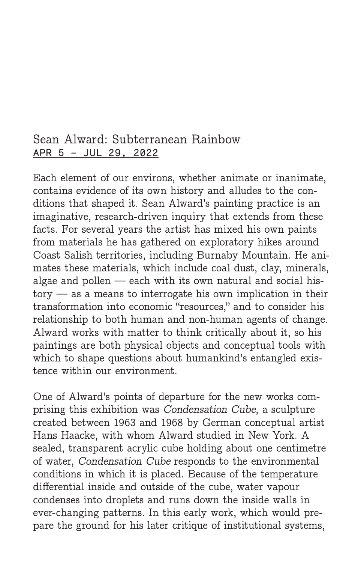## Sean Alward: Subterranean Rainbow APR 5 – JUL 29, 2022

Each element of our environs, whether animate or inanimate, contains evidence of its own history and alludes to the conditions that shaped it. Sean Alward's painting practice is an imaginative, research-driven inquiry that extends from these facts. For several years the artist has mixed his own paints from materials he has gathered on exploratory hikes around Coast Salish territories, including Burnaby Mountain. He animates these materials, which include coal dust, clay, minerals, algae and pollen — each with its own natural and social history — as a means to interrogate his own implication in their transformation into economic "resources," and to consider his relationship to both human and non-human agents of change. Alward works with matter to think critically about it, so his paintings are both physical objects and conceptual tools with which to shape questions about humankind's entangled existence within our environment.

One of Alward's points of departure for the new works comprising this exhibition was Condensation Cube, a sculpture created between 1963 and 1968 by German conceptual artist Hans Haacke, with whom Alward studied in New York. A sealed, transparent acrylic cube holding about one centimetre of water, Condensation Cube responds to the environmental conditions in which it is placed. Because of the temperature differential inside and outside of the cube, water vapour condenses into droplets and runs down the inside walls in ever-changing patterns. In this early work, which would prepare the ground for his later critique of institutional systems,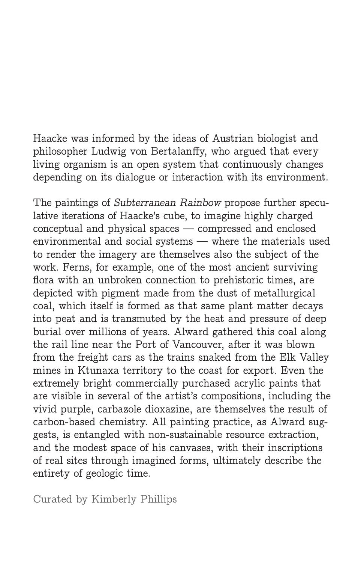Haacke was informed by the ideas of Austrian biologist and philosopher Ludwig von Bertalanffy, who argued that every living organism is an open system that continuously changes depending on its dialogue or interaction with its environment.

The paintings of Subterranean Rainbow propose further speculative iterations of Haacke's cube, to imagine highly charged conceptual and physical spaces — compressed and enclosed environmental and social systems — where the materials used to render the imagery are themselves also the subject of the work. Ferns, for example, one of the most ancient surviving flora with an unbroken connection to prehistoric times, are depicted with pigment made from the dust of metallurgical coal, which itself is formed as that same plant matter decays into peat and is transmuted by the heat and pressure of deep burial over millions of years. Alward gathered this coal along the rail line near the Port of Vancouver, after it was blown from the freight cars as the trains snaked from the Elk Valley mines in Ktunaxa territory to the coast for export. Even the extremely bright commercially purchased acrylic paints that are visible in several of the artist's compositions, including the vivid purple, carbazole dioxazine, are themselves the result of carbon-based chemistry. All painting practice, as Alward suggests, is entangled with non-sustainable resource extraction, and the modest space of his canvases, with their inscriptions of real sites through imagined forms, ultimately describe the entirety of geologic time.

Curated by Kimberly Phillips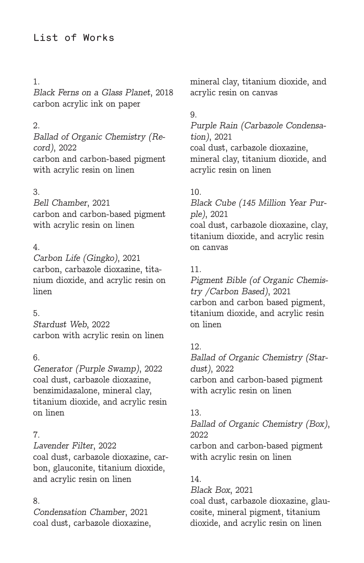#### 1.

Black Ferns on a Glass Planet, 2018 carbon acrylic ink on paper

#### 2.

Ballad of Organic Chemistry (Record), 2022 carbon and carbon-based pigment with acrylic resin on linen

#### 3.

Bell Chamber, 2021 carbon and carbon-based pigment with acrylic resin on linen

#### 4.

Carbon Life (Gingko), 2021 carbon, carbazole dioxazine, titanium dioxide, and acrylic resin on linen

#### 5.

Stardust Web, 2022 carbon with acrylic resin on linen

#### 6.

Generator (Purple Swamp), 2022 coal dust, carbazole dioxazine, benzimidazalone, mineral clay, titanium dioxide, and acrylic resin on linen

#### 7.

Lavender Filter, 2022 coal dust, carbazole dioxazine, carbon, glauconite, titanium dioxide, and acrylic resin on linen

#### 8.

Condensation Chamber, 2021 coal dust, carbazole dioxazine, mineral clay, titanium dioxide, and acrylic resin on canvas

#### 9.

Purple Rain (Carbazole Condensation), 2021 coal dust, carbazole dioxazine, mineral clay, titanium dioxide, and acrylic resin on linen

#### 10.

Black Cube (145 Million Year Purple), 2021 coal dust, carbazole dioxazine, clay, titanium dioxide, and acrylic resin on canvas

#### 11.

Pigment Bible (of Organic Chemistry /Carbon Based), 2021 carbon and carbon based pigment, titanium dioxide, and acrylic resin on linen

#### 12.

Ballad of Organic Chemistry (Stardust), 2022 carbon and carbon-based pigment with acrylic resin on linen

#### 13.

Ballad of Organic Chemistry (Box), 2022 carbon and carbon-based pigment with acrylic resin on linen

#### 14.

Black Box, 2021

coal dust, carbazole dioxazine, glaucosite, mineral pigment, titanium dioxide, and acrylic resin on linen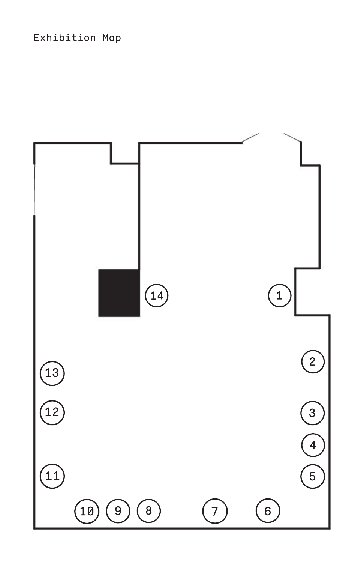## Exhibition Map

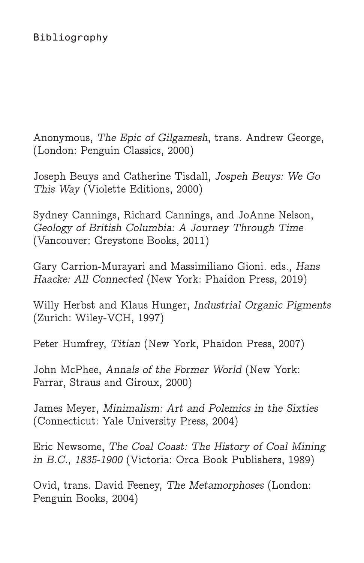Anonymous, The Epic of Gilgamesh, trans. Andrew George, (London: Penguin Classics, 2000)

Joseph Beuys and Catherine Tisdall, Jospeh Beuys: We Go This Way (Violette Editions, 2000)

Sydney Cannings, Richard Cannings, and JoAnne Nelson, Geology of British Columbia: A Journey Through Time (Vancouver: Greystone Books, 2011)

Gary Carrion-Murayari and Massimiliano Gioni. eds., Hans Haacke: All Connected (New York: Phaidon Press, 2019)

Willy Herbst and Klaus Hunger, Industrial Organic Pigments (Zurich: Wiley-VCH, 1997)

Peter Humfrey, Titian (New York, Phaidon Press, 2007)

John McPhee, Annals of the Former World (New York: Farrar, Straus and Giroux, 2000)

James Meyer, Minimalism: Art and Polemics in the Sixties (Connecticut: Yale University Press, 2004)

Eric Newsome, The Coal Coast: The History of Coal Mining in B.C., 1835-1900 (Victoria: Orca Book Publishers, 1989)

Ovid, trans. David Feeney, The Metamorphoses (London: Penguin Books, 2004)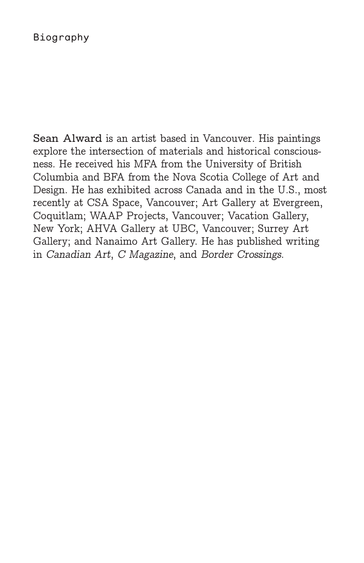#### Biography

**Sean Alward** is an artist based in Vancouver. His paintings explore the intersection of materials and historical consciousness. He received his MFA from the University of British Columbia and BFA from the Nova Scotia College of Art and Design. He has exhibited across Canada and in the U.S., most recently at CSA Space, Vancouver; Art Gallery at Evergreen, Coquitlam; WAAP Projects, Vancouver; Vacation Gallery, New York; AHVA Gallery at UBC, Vancouver; Surrey Art Gallery; and Nanaimo Art Gallery. He has published writing in Canadian Art, C Magazine, and Border Crossings.